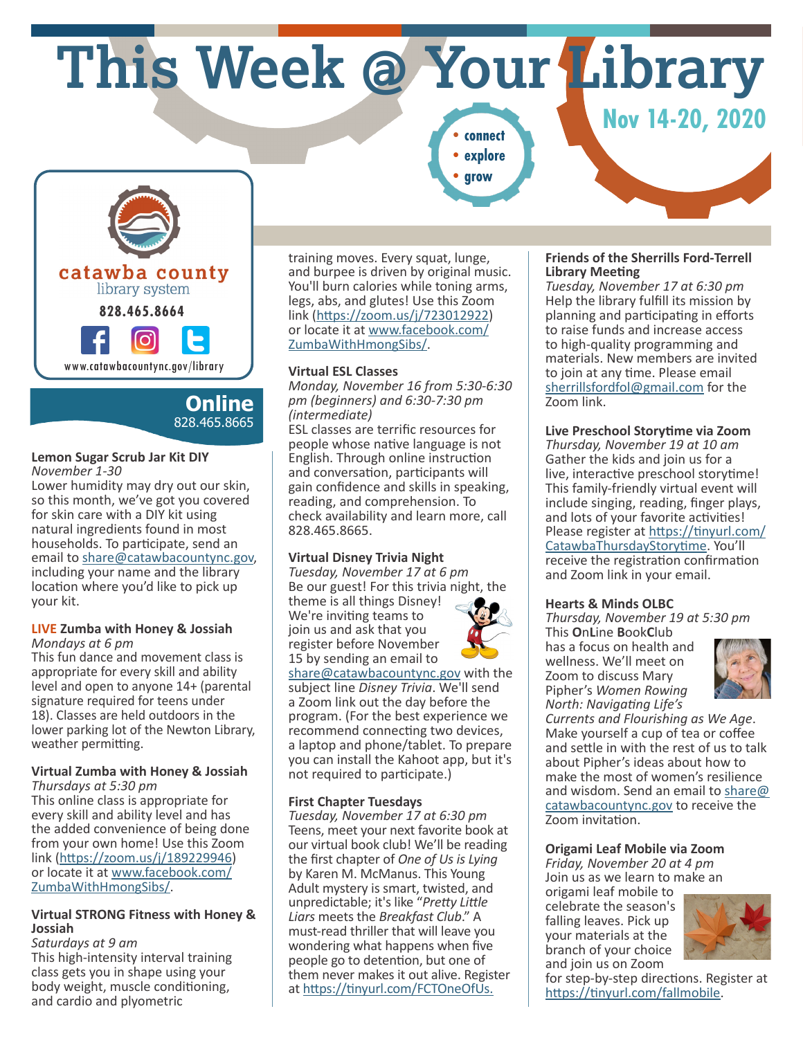**This Week @ Your Library**

**CONNECT 2020 Property Property Property Property Property Property Property Property Property Property Property Property Property Property Property Property Property Property Property •explore**

**•grow**



**Online** 828.465.8665

#### **Lemon Sugar Scrub Jar Kit DIY** *November 1-30*

Lower humidity may dry out our skin, so this month, we've got you covered for skin care with a DIY kit using natural ingredients found in most households. To participate, send an email to share@catawbacountync.gov, including your name and the library location where you'd like to pick up your kit.

### **LIVE Zumba with Honey & Jossiah** *Mondays at 6 pm*

This fun dance and movement class is appropriate for every skill and ability level and open to anyone 14+ (parental signature required for teens under 18). Classes are held outdoors in the lower parking lot of the Newton Library, weather permitting.

#### **Virtual Zumba with Honey & Jossiah** *Thursdays at 5:30 pm*

This online class is appropriate for every skill and ability level and has the added convenience of being done from your own home! Use this Zoom link (https://zoom.us/j/189229946) or locate it at www.facebook.com/ ZumbaWithHmongSibs/.

### **Virtual STRONG Fitness with Honey & Jossiah**

*Saturdays at 9 am* This high-intensity interval training class gets you in shape using your body weight, muscle conditioning, and cardio and plyometric

training moves. Every squat, lunge, and burpee is driven by original music. You'll burn calories while toning arms, legs, abs, and glutes! Use this Zoom link (https://zoom.us/j/723012922) or locate it at www.facebook.com/ ZumbaWithHmongSibs/.

# **Virtual ESL Classes**

*Monday, November 16 from 5:30-6:30 pm (beginners) and 6:30-7:30 pm (intermediate)*

ESL classes are terrific resources for people whose native language is not English. Through online instruction and conversation, participants will gain confidence and skills in speaking, reading, and comprehension. To check availability and learn more, call 828.465.8665.

# **Virtual Disney Trivia Night**

*Tuesday, November 17 at 6 pm* Be our guest! For this trivia night, the theme is all things Disney! We're inviting teams to

join us and ask that you register before November 15 by sending an email to



share@catawbacountync.gov with the subject line *Disney Trivia*. We'll send a Zoom link out the day before the program. (For the best experience we recommend connecting two devices, a laptop and phone/tablet. To prepare you can install the Kahoot app, but it's not required to participate.)

## **First Chapter Tuesdays**

*Tuesday, November 17 at 6:30 pm* Teens, meet your next favorite book at our virtual book club! We'll be reading the first chapter of *One of Us is Lying* by Karen M. McManus. This Young Adult mystery is smart, twisted, and unpredictable; it's like "*Pretty Little Liars* meets the *Breakfast Club*." A must-read thriller that will leave you wondering what happens when five people go to detention, but one of them never makes it out alive. Register at https://tinyurl.com/FCTOneOfUs.

## **Friends of the Sherrills Ford-Terrell Library Meeting**

*Tuesday, November 17 at 6:30 pm* Help the library fulfill its mission by planning and participating in efforts to raise funds and increase access to high-quality programming and materials. New members are invited to join at any time. Please email sherrillsfordfol@gmail.com for the Zoom link.

# **Live Preschool Storytime via Zoom**

*Thursday, November 19 at 10 am* Gather the kids and join us for a live, interactive preschool storytime! This family-friendly virtual event will include singing, reading, finger plays, and lots of your favorite activities! Please register at https://tinyurl.com/ CatawbaThursdayStorytime. You'll receive the registration confirmation and Zoom link in your email.

## **Hearts & Minds OLBC**

*Thursday, November 19 at 5:30 pm*

This **O**n**L**ine **B**ook**C**lub has a focus on health and wellness. We'll meet on Zoom to discuss Mary Pipher's *Women Rowing North: Navigating Life's* 



*Currents and Flourishing as We Age*. Make yourself a cup of tea or coffee and settle in with the rest of us to talk about Pipher's ideas about how to make the most of women's resilience and wisdom. Send an email to share@ catawbacountync.gov to receive the Zoom invitation.

**Origami Leaf Mobile via Zoom**

*Friday, November 20 at 4 pm* Join us as we learn to make an

origami leaf mobile to celebrate the season's falling leaves. Pick up your materials at the branch of your choice and join us on Zoom



for step-by-step directions. Register at https://tinyurl.com/fallmobile.